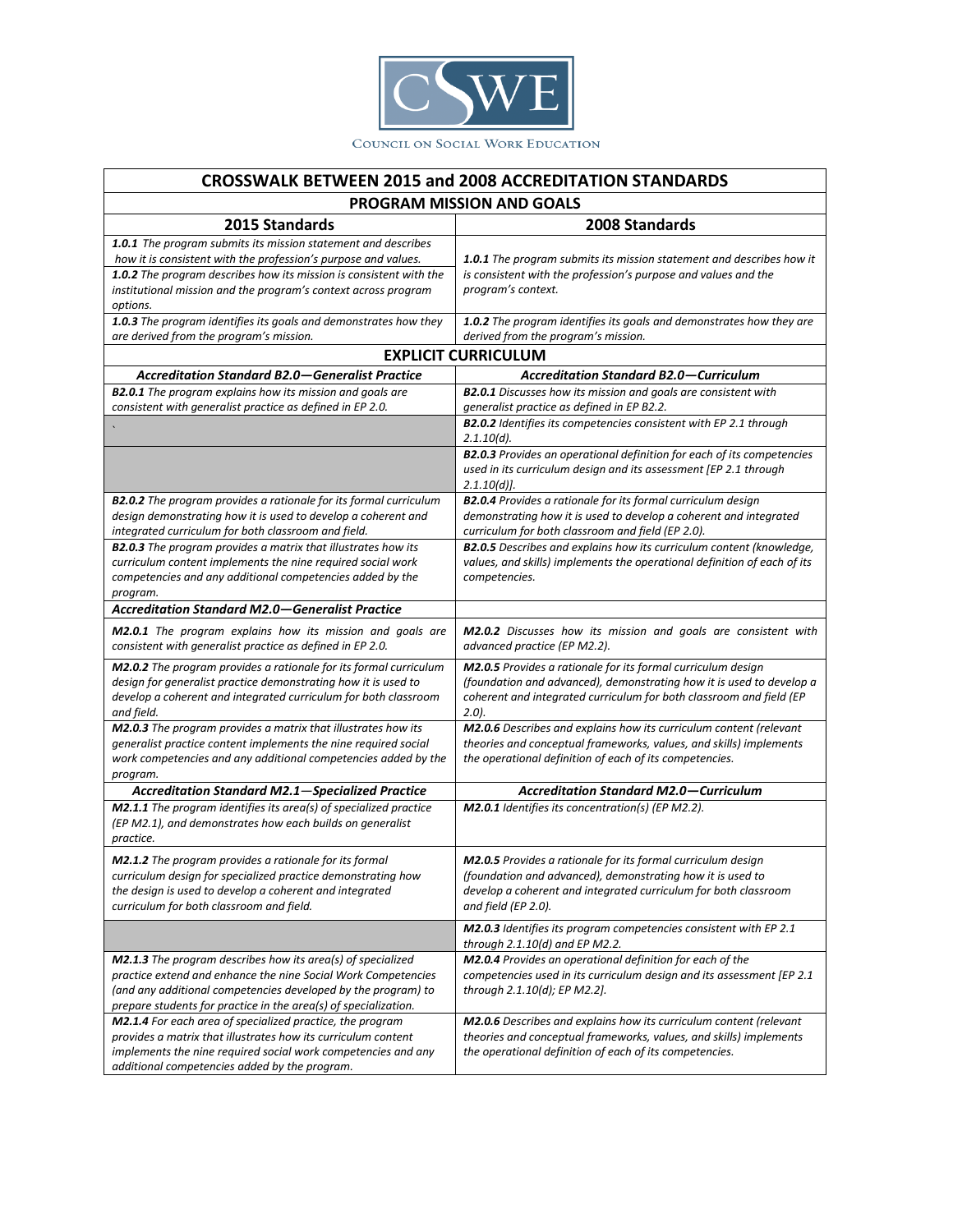

## **CROSSWALK BETWEEN 2015 and 2008 ACCREDITATION STANDARDS**

| PROGRAM MISSION AND GOALS                                                                                                                                                                                                                                                           |                                                                                                                                                                                                                          |
|-------------------------------------------------------------------------------------------------------------------------------------------------------------------------------------------------------------------------------------------------------------------------------------|--------------------------------------------------------------------------------------------------------------------------------------------------------------------------------------------------------------------------|
| 2015 Standards                                                                                                                                                                                                                                                                      | 2008 Standards                                                                                                                                                                                                           |
| 1.0.1 The program submits its mission statement and describes<br>how it is consistent with the profession's purpose and values.<br>1.0.2 The program describes how its mission is consistent with the<br>institutional mission and the program's context across program<br>options. | <b>1.0.1</b> The program submits its mission statement and describes how it<br>is consistent with the profession's purpose and values and the<br>program's context.                                                      |
| 1.0.3 The program identifies its goals and demonstrates how they<br>are derived from the program's mission.                                                                                                                                                                         | 1.0.2 The program identifies its goals and demonstrates how they are<br>derived from the program's mission.                                                                                                              |
| <b>EXPLICIT CURRICULUM</b>                                                                                                                                                                                                                                                          |                                                                                                                                                                                                                          |
| <b>Accreditation Standard B2.0–Generalist Practice</b>                                                                                                                                                                                                                              | <b>Accreditation Standard B2.0-Curriculum</b>                                                                                                                                                                            |
| <b>B2.0.1</b> The program explains how its mission and goals are<br>consistent with generalist practice as defined in EP 2.0.                                                                                                                                                       | <b>B2.0.1</b> Discusses how its mission and goals are consistent with<br>generalist practice as defined in EP B2.2.                                                                                                      |
|                                                                                                                                                                                                                                                                                     | <b>B2.0.2</b> Identifies its competencies consistent with EP 2.1 through<br>$2.1.10(d)$ .                                                                                                                                |
|                                                                                                                                                                                                                                                                                     | <b>B2.0.3</b> Provides an operational definition for each of its competencies<br>used in its curriculum design and its assessment [EP 2.1 through<br>$2.1.10(d)$ .                                                       |
| <b>B2.0.2</b> The program provides a rationale for its formal curriculum<br>design demonstrating how it is used to develop a coherent and<br>integrated curriculum for both classroom and field.                                                                                    | <b>B2.0.4</b> Provides a rationale for its formal curriculum design<br>demonstrating how it is used to develop a coherent and integrated<br>curriculum for both classroom and field (EP 2.0).                            |
| <b>B2.0.3</b> The program provides a matrix that illustrates how its<br>curriculum content implements the nine required social work<br>competencies and any additional competencies added by the<br>program.                                                                        | B2.0.5 Describes and explains how its curriculum content (knowledge,<br>values, and skills) implements the operational definition of each of its<br>competencies.                                                        |
| <b>Accreditation Standard M2.0–Generalist Practice</b>                                                                                                                                                                                                                              |                                                                                                                                                                                                                          |
| M2.0.1 The program explains how its mission and goals are<br>consistent with generalist practice as defined in EP 2.0.                                                                                                                                                              | M2.0.2 Discusses how its mission and goals are consistent with<br>advanced practice (EP M2.2).                                                                                                                           |
| M2.0.2 The program provides a rationale for its formal curriculum<br>design for generalist practice demonstrating how it is used to<br>develop a coherent and integrated curriculum for both classroom<br>and field.                                                                | M2.0.5 Provides a rationale for its formal curriculum design<br>(foundation and advanced), demonstrating how it is used to develop a<br>coherent and integrated curriculum for both classroom and field (EP<br>$(2.0)$ . |
| M2.0.3 The program provides a matrix that illustrates how its<br>generalist practice content implements the nine required social<br>work competencies and any additional competencies added by the<br>program.                                                                      | M2.0.6 Describes and explains how its curriculum content (relevant<br>theories and conceptual frameworks, values, and skills) implements<br>the operational definition of each of its competencies.                      |
| <b>Accreditation Standard M2.1-Specialized Practice</b>                                                                                                                                                                                                                             | <b>Accreditation Standard M2.0-Curriculum</b>                                                                                                                                                                            |
| <b>M2.1.1</b> The program identifies its area(s) of specialized practice<br>(EP M2.1), and demonstrates how each builds on generalist<br>practice.                                                                                                                                  | M2.0.1 Identifies its concentration(s) (EP M2.2).                                                                                                                                                                        |
| M2.1.2 The program provides a rationale for its formal<br>curriculum design for specialized practice demonstrating how<br>the design is used to develop a coherent and integrated<br>curriculum for both classroom and field.                                                       | M2.0.5 Provides a rationale for its formal curriculum design<br>(foundation and advanced), demonstrating how it is used to<br>develop a coherent and integrated curriculum for both classroom<br>and field (EP 2.0).     |
|                                                                                                                                                                                                                                                                                     | M2.0.3 Identifies its program competencies consistent with EP 2.1<br>through 2.1.10(d) and EP M2.2.                                                                                                                      |
| M2.1.3 The program describes how its area(s) of specialized<br>practice extend and enhance the nine Social Work Competencies<br>(and any additional competencies developed by the program) to<br>prepare students for practice in the area(s) of specialization.                    | M2.0.4 Provides an operational definition for each of the<br>competencies used in its curriculum design and its assessment [EP 2.1<br>through 2.1.10(d); EP M2.2].                                                       |
| M2.1.4 For each area of specialized practice, the program<br>provides a matrix that illustrates how its curriculum content<br>implements the nine required social work competencies and any<br>additional competencies added by the program.                                        | M2.0.6 Describes and explains how its curriculum content (relevant<br>theories and conceptual frameworks, values, and skills) implements<br>the operational definition of each of its competencies.                      |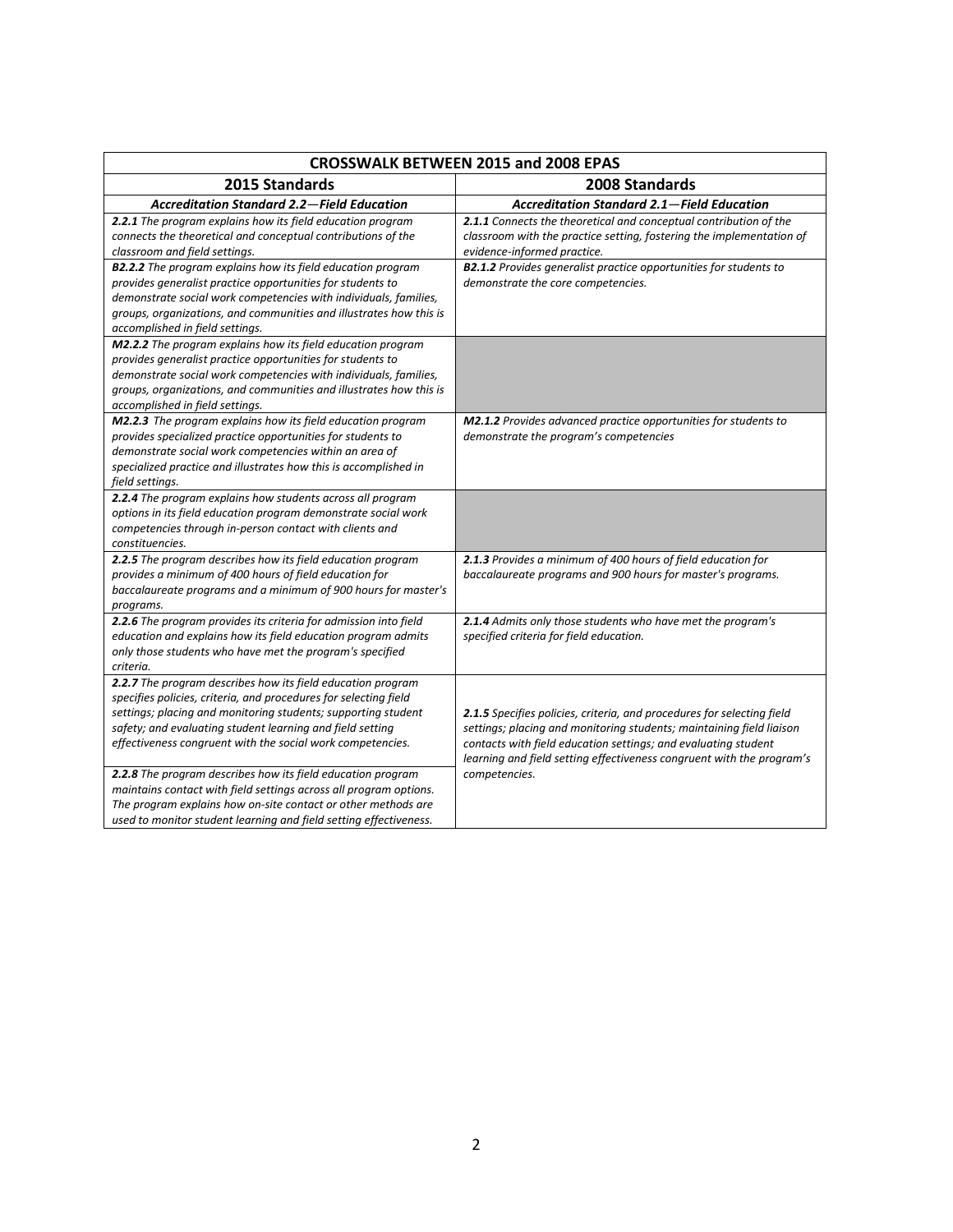| <b>CROSSWALK BETWEEN 2015 and 2008 EPAS</b>                                                                                                                                                                                                                                                                                                                                                                                                                                                                                                                                                           |                                                                                                                                                                                                                                                                                                            |
|-------------------------------------------------------------------------------------------------------------------------------------------------------------------------------------------------------------------------------------------------------------------------------------------------------------------------------------------------------------------------------------------------------------------------------------------------------------------------------------------------------------------------------------------------------------------------------------------------------|------------------------------------------------------------------------------------------------------------------------------------------------------------------------------------------------------------------------------------------------------------------------------------------------------------|
| 2015 Standards                                                                                                                                                                                                                                                                                                                                                                                                                                                                                                                                                                                        | 2008 Standards                                                                                                                                                                                                                                                                                             |
| <b>Accreditation Standard 2.2-Field Education</b>                                                                                                                                                                                                                                                                                                                                                                                                                                                                                                                                                     | <b>Accreditation Standard 2.1-Field Education</b>                                                                                                                                                                                                                                                          |
| 2.2.1 The program explains how its field education program<br>connects the theoretical and conceptual contributions of the<br>classroom and field settings.                                                                                                                                                                                                                                                                                                                                                                                                                                           | 2.1.1 Connects the theoretical and conceptual contribution of the<br>classroom with the practice setting, fostering the implementation of<br>evidence-informed practice.                                                                                                                                   |
| <b>B2.2.2</b> The program explains how its field education program<br>provides generalist practice opportunities for students to<br>demonstrate social work competencies with individuals, families,<br>groups, organizations, and communities and illustrates how this is<br>accomplished in field settings.                                                                                                                                                                                                                                                                                         | <b>B2.1.2</b> Provides generalist practice opportunities for students to<br>demonstrate the core competencies.                                                                                                                                                                                             |
| M2.2.2 The program explains how its field education program<br>provides generalist practice opportunities for students to<br>demonstrate social work competencies with individuals, families,<br>groups, organizations, and communities and illustrates how this is<br>accomplished in field settings.                                                                                                                                                                                                                                                                                                |                                                                                                                                                                                                                                                                                                            |
| M2.2.3 The program explains how its field education program<br>provides specialized practice opportunities for students to<br>demonstrate social work competencies within an area of<br>specialized practice and illustrates how this is accomplished in<br>field settings.                                                                                                                                                                                                                                                                                                                           | <b>M2.1.2</b> Provides advanced practice opportunities for students to<br>demonstrate the program's competencies                                                                                                                                                                                           |
| 2.2.4 The program explains how students across all program<br>options in its field education program demonstrate social work<br>competencies through in-person contact with clients and<br>constituencies.                                                                                                                                                                                                                                                                                                                                                                                            |                                                                                                                                                                                                                                                                                                            |
| 2.2.5 The program describes how its field education program<br>provides a minimum of 400 hours of field education for<br>baccalaureate programs and a minimum of 900 hours for master's<br>programs.                                                                                                                                                                                                                                                                                                                                                                                                  | 2.1.3 Provides a minimum of 400 hours of field education for<br>baccalaureate programs and 900 hours for master's programs.                                                                                                                                                                                |
| 2.2.6 The program provides its criteria for admission into field<br>education and explains how its field education program admits<br>only those students who have met the program's specified<br>criteria.                                                                                                                                                                                                                                                                                                                                                                                            | 2.1.4 Admits only those students who have met the program's<br>specified criteria for field education.                                                                                                                                                                                                     |
| 2.2.7 The program describes how its field education program<br>specifies policies, criteria, and procedures for selecting field<br>settings; placing and monitoring students; supporting student<br>safety; and evaluating student learning and field setting<br>effectiveness congruent with the social work competencies.<br>2.2.8 The program describes how its field education program<br>maintains contact with field settings across all program options.<br>The program explains how on-site contact or other methods are<br>used to monitor student learning and field setting effectiveness. | 2.1.5 Specifies policies, criteria, and procedures for selecting field<br>settings; placing and monitoring students; maintaining field liaison<br>contacts with field education settings; and evaluating student<br>learning and field setting effectiveness congruent with the program's<br>competencies. |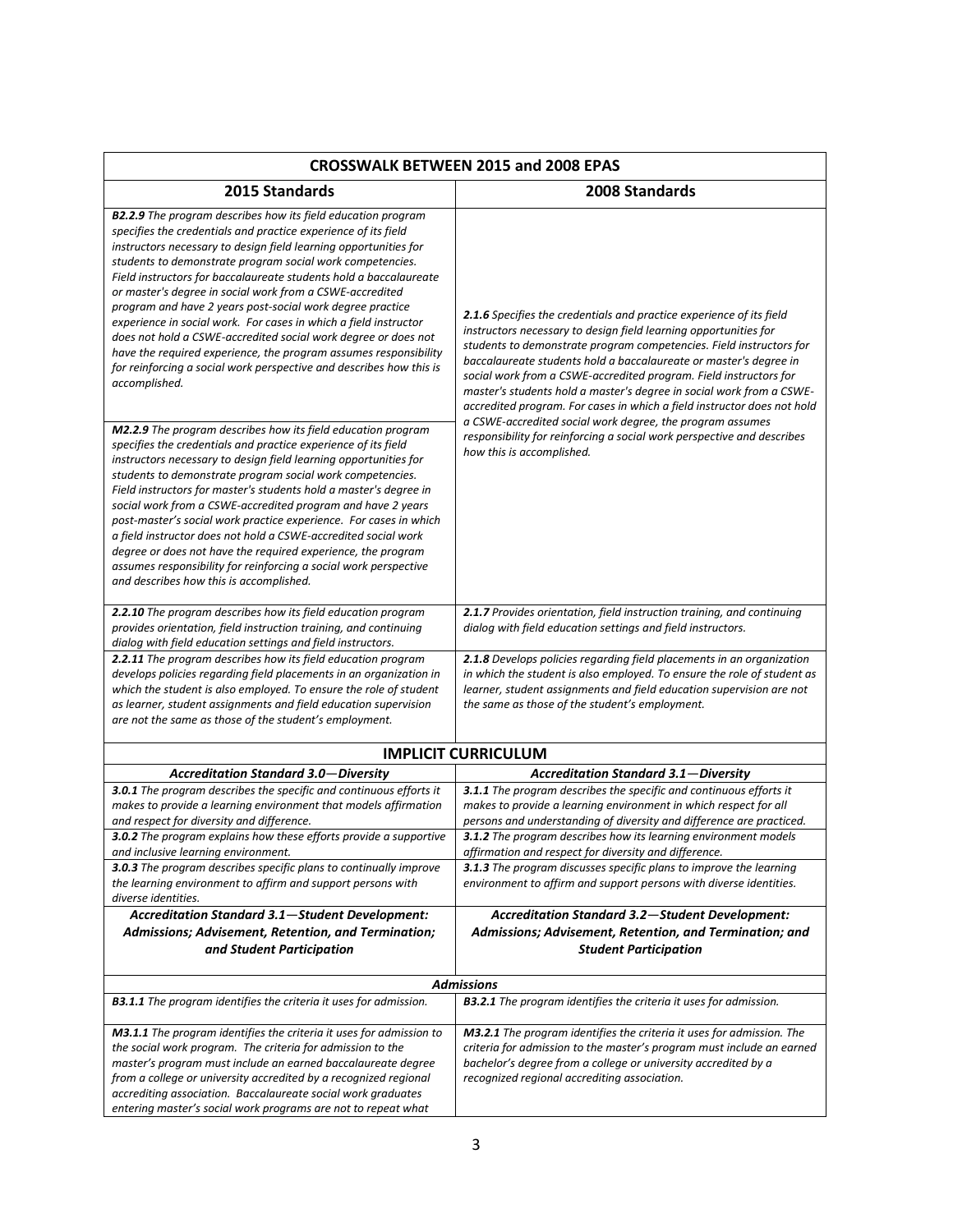| <b>CROSSWALK BETWEEN 2015 and 2008 EPAS</b>                                                                                                                                                                                                                                                                                                                                                                                                                                                                                                                                                                                                                                                                                                                            |                                                                                                                                                                                                                                                                                                                                                                                                                                                                                                                     |
|------------------------------------------------------------------------------------------------------------------------------------------------------------------------------------------------------------------------------------------------------------------------------------------------------------------------------------------------------------------------------------------------------------------------------------------------------------------------------------------------------------------------------------------------------------------------------------------------------------------------------------------------------------------------------------------------------------------------------------------------------------------------|---------------------------------------------------------------------------------------------------------------------------------------------------------------------------------------------------------------------------------------------------------------------------------------------------------------------------------------------------------------------------------------------------------------------------------------------------------------------------------------------------------------------|
| 2015 Standards                                                                                                                                                                                                                                                                                                                                                                                                                                                                                                                                                                                                                                                                                                                                                         | 2008 Standards                                                                                                                                                                                                                                                                                                                                                                                                                                                                                                      |
| <b>B2.2.9</b> The program describes how its field education program<br>specifies the credentials and practice experience of its field<br>instructors necessary to design field learning opportunities for<br>students to demonstrate program social work competencies.<br>Field instructors for baccalaureate students hold a baccalaureate<br>or master's degree in social work from a CSWE-accredited<br>program and have 2 years post-social work degree practice<br>experience in social work. For cases in which a field instructor<br>does not hold a CSWE-accredited social work degree or does not<br>have the required experience, the program assumes responsibility<br>for reinforcing a social work perspective and describes how this is<br>accomplished. | <b>2.1.6</b> Specifies the credentials and practice experience of its field<br>instructors necessary to design field learning opportunities for<br>students to demonstrate program competencies. Field instructors for<br>baccalaureate students hold a baccalaureate or master's degree in<br>social work from a CSWE-accredited program. Field instructors for<br>master's students hold a master's degree in social work from a CSWE-<br>accredited program. For cases in which a field instructor does not hold |
| M2.2.9 The program describes how its field education program<br>specifies the credentials and practice experience of its field<br>instructors necessary to design field learning opportunities for<br>students to demonstrate program social work competencies.<br>Field instructors for master's students hold a master's degree in<br>social work from a CSWE-accredited program and have 2 years<br>post-master's social work practice experience. For cases in which<br>a field instructor does not hold a CSWE-accredited social work<br>degree or does not have the required experience, the program<br>assumes responsibility for reinforcing a social work perspective<br>and describes how this is accomplished.                                              | a CSWE-accredited social work degree, the program assumes<br>responsibility for reinforcing a social work perspective and describes<br>how this is accomplished.                                                                                                                                                                                                                                                                                                                                                    |
| 2.2.10 The program describes how its field education program<br>provides orientation, field instruction training, and continuing<br>dialog with field education settings and field instructors.                                                                                                                                                                                                                                                                                                                                                                                                                                                                                                                                                                        | 2.1.7 Provides orientation, field instruction training, and continuing<br>dialog with field education settings and field instructors.                                                                                                                                                                                                                                                                                                                                                                               |
| 2.2.11 The program describes how its field education program<br>develops policies regarding field placements in an organization in<br>which the student is also employed. To ensure the role of student<br>as learner, student assignments and field education supervision<br>are not the same as those of the student's employment.                                                                                                                                                                                                                                                                                                                                                                                                                                   | 2.1.8 Develops policies regarding field placements in an organization<br>in which the student is also employed. To ensure the role of student as<br>learner, student assignments and field education supervision are not<br>the same as those of the student's employment.                                                                                                                                                                                                                                          |
| <b>IMPLICIT CURRICULUM</b>                                                                                                                                                                                                                                                                                                                                                                                                                                                                                                                                                                                                                                                                                                                                             |                                                                                                                                                                                                                                                                                                                                                                                                                                                                                                                     |
| <b>Accreditation Standard 3.0-Diversity</b>                                                                                                                                                                                                                                                                                                                                                                                                                                                                                                                                                                                                                                                                                                                            | <b>Accreditation Standard 3.1-Diversity</b>                                                                                                                                                                                                                                                                                                                                                                                                                                                                         |
| 3.0.1 The program describes the specific and continuous efforts it<br>makes to provide a learning environment that models affirmation<br>and respect for diversity and difference.                                                                                                                                                                                                                                                                                                                                                                                                                                                                                                                                                                                     | 3.1.1 The program describes the specific and continuous efforts it<br>makes to provide a learning environment in which respect for all<br>persons and understanding of diversity and difference are practiced.                                                                                                                                                                                                                                                                                                      |
| 3.0.2 The program explains how these efforts provide a supportive<br>and inclusive learning environment.                                                                                                                                                                                                                                                                                                                                                                                                                                                                                                                                                                                                                                                               | <b>3.1.2</b> The program describes how its learning environment models<br>affirmation and respect for diversity and difference.                                                                                                                                                                                                                                                                                                                                                                                     |
| 3.0.3 The program describes specific plans to continually improve<br>the learning environment to affirm and support persons with<br>diverse identities.                                                                                                                                                                                                                                                                                                                                                                                                                                                                                                                                                                                                                | 3.1.3 The program discusses specific plans to improve the learning<br>environment to affirm and support persons with diverse identities.                                                                                                                                                                                                                                                                                                                                                                            |
| Accreditation Standard 3.1-Student Development:                                                                                                                                                                                                                                                                                                                                                                                                                                                                                                                                                                                                                                                                                                                        | Accreditation Standard 3.2-Student Development:                                                                                                                                                                                                                                                                                                                                                                                                                                                                     |
| Admissions; Advisement, Retention, and Termination;                                                                                                                                                                                                                                                                                                                                                                                                                                                                                                                                                                                                                                                                                                                    | Admissions; Advisement, Retention, and Termination; and                                                                                                                                                                                                                                                                                                                                                                                                                                                             |
| and Student Participation                                                                                                                                                                                                                                                                                                                                                                                                                                                                                                                                                                                                                                                                                                                                              | <b>Student Participation</b>                                                                                                                                                                                                                                                                                                                                                                                                                                                                                        |
|                                                                                                                                                                                                                                                                                                                                                                                                                                                                                                                                                                                                                                                                                                                                                                        | <b>Admissions</b>                                                                                                                                                                                                                                                                                                                                                                                                                                                                                                   |
| <b>B3.1.1</b> The program identifies the criteria it uses for admission.                                                                                                                                                                                                                                                                                                                                                                                                                                                                                                                                                                                                                                                                                               | <b>B3.2.1</b> The program identifies the criteria it uses for admission.                                                                                                                                                                                                                                                                                                                                                                                                                                            |
| M3.1.1 The program identifies the criteria it uses for admission to<br>the social work program. The criteria for admission to the<br>master's program must include an earned baccalaureate degree<br>from a college or university accredited by a recognized regional<br>accrediting association. Baccalaureate social work graduates<br>entering master's social work programs are not to repeat what                                                                                                                                                                                                                                                                                                                                                                 | M3.2.1 The program identifies the criteria it uses for admission. The<br>criteria for admission to the master's program must include an earned<br>bachelor's degree from a college or university accredited by a<br>recognized regional accrediting association.                                                                                                                                                                                                                                                    |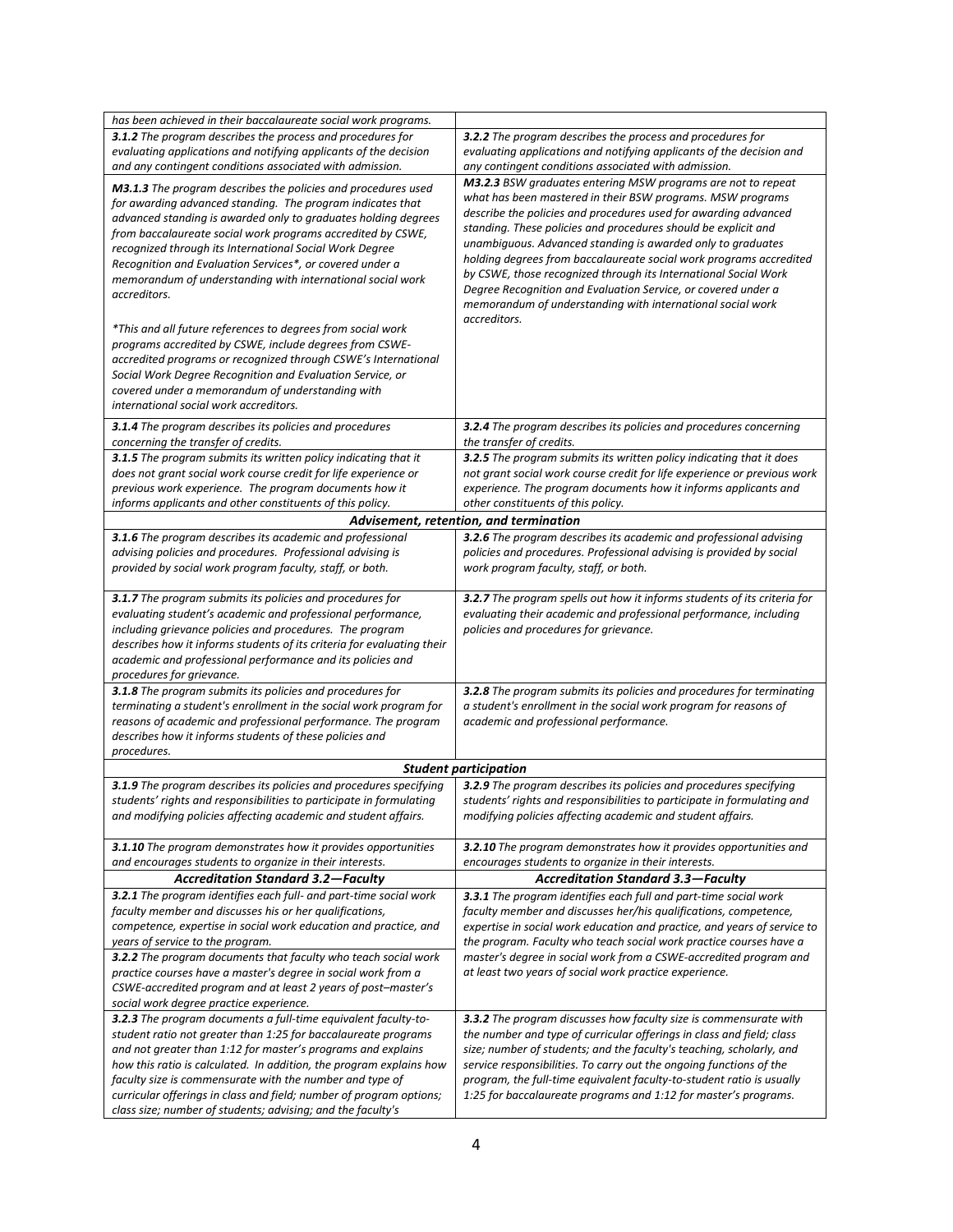| has been achieved in their baccalaureate social work programs.                                                                     |                                                                                                                                         |
|------------------------------------------------------------------------------------------------------------------------------------|-----------------------------------------------------------------------------------------------------------------------------------------|
| 3.1.2 The program describes the process and procedures for                                                                         | 3.2.2 The program describes the process and procedures for                                                                              |
| evaluating applications and notifying applicants of the decision                                                                   | evaluating applications and notifying applicants of the decision and                                                                    |
| and any contingent conditions associated with admission.                                                                           | any contingent conditions associated with admission.                                                                                    |
| M3.1.3 The program describes the policies and procedures used                                                                      | M3.2.3 BSW graduates entering MSW programs are not to repeat                                                                            |
| for awarding advanced standing. The program indicates that                                                                         | what has been mastered in their BSW programs. MSW programs                                                                              |
| advanced standing is awarded only to graduates holding degrees                                                                     | describe the policies and procedures used for awarding advanced                                                                         |
| from baccalaureate social work programs accredited by CSWE,                                                                        | standing. These policies and procedures should be explicit and                                                                          |
| recognized through its International Social Work Degree                                                                            | unambiguous. Advanced standing is awarded only to graduates                                                                             |
| Recognition and Evaluation Services*, or covered under a                                                                           | holding degrees from baccalaureate social work programs accredited                                                                      |
| memorandum of understanding with international social work                                                                         | by CSWE, those recognized through its International Social Work                                                                         |
| accreditors.                                                                                                                       | Degree Recognition and Evaluation Service, or covered under a                                                                           |
|                                                                                                                                    | memorandum of understanding with international social work                                                                              |
| *This and all future references to degrees from social work                                                                        | accreditors.                                                                                                                            |
| programs accredited by CSWE, include degrees from CSWE-                                                                            |                                                                                                                                         |
| accredited programs or recognized through CSWE's International                                                                     |                                                                                                                                         |
| Social Work Degree Recognition and Evaluation Service, or                                                                          |                                                                                                                                         |
| covered under a memorandum of understanding with                                                                                   |                                                                                                                                         |
| international social work accreditors.                                                                                             |                                                                                                                                         |
| 3.1.4 The program describes its policies and procedures                                                                            | 3.2.4 The program describes its policies and procedures concerning                                                                      |
| concerning the transfer of credits.                                                                                                | the transfer of credits.                                                                                                                |
| 3.1.5 The program submits its written policy indicating that it                                                                    | 3.2.5 The program submits its written policy indicating that it does                                                                    |
| does not grant social work course credit for life experience or                                                                    | not grant social work course credit for life experience or previous work                                                                |
| previous work experience. The program documents how it                                                                             | experience. The program documents how it informs applicants and                                                                         |
| informs applicants and other constituents of this policy.                                                                          | other constituents of this policy.                                                                                                      |
|                                                                                                                                    | Advisement, retention, and termination                                                                                                  |
| 3.1.6 The program describes its academic and professional                                                                          | 3.2.6 The program describes its academic and professional advising                                                                      |
| advising policies and procedures. Professional advising is                                                                         | policies and procedures. Professional advising is provided by social                                                                    |
| provided by social work program faculty, staff, or both.                                                                           | work program faculty, staff, or both.                                                                                                   |
|                                                                                                                                    |                                                                                                                                         |
| 3.1.7 The program submits its policies and procedures for                                                                          | 3.2.7 The program spells out how it informs students of its criteria for                                                                |
| evaluating student's academic and professional performance,                                                                        | evaluating their academic and professional performance, including                                                                       |
| including grievance policies and procedures. The program<br>describes how it informs students of its criteria for evaluating their | policies and procedures for grievance.                                                                                                  |
| academic and professional performance and its policies and                                                                         |                                                                                                                                         |
| procedures for grievance.                                                                                                          |                                                                                                                                         |
| 3.1.8 The program submits its policies and procedures for                                                                          | 3.2.8 The program submits its policies and procedures for terminating                                                                   |
| terminating a student's enrollment in the social work program for                                                                  | a student's enrollment in the social work program for reasons of                                                                        |
| reasons of academic and professional performance. The program                                                                      | academic and professional performance.                                                                                                  |
| describes how it informs students of these policies and                                                                            |                                                                                                                                         |
| procedures.                                                                                                                        |                                                                                                                                         |
|                                                                                                                                    | <b>Student participation</b>                                                                                                            |
| 3.1.9 The program describes its policies and procedures specifying                                                                 | 3.2.9 The program describes its policies and procedures specifying                                                                      |
| students' rights and responsibilities to participate in formulating                                                                | students' rights and responsibilities to participate in formulating and                                                                 |
|                                                                                                                                    |                                                                                                                                         |
| and modifying policies affecting academic and student affairs.                                                                     | modifying policies affecting academic and student affairs.                                                                              |
|                                                                                                                                    |                                                                                                                                         |
| 3.1.10 The program demonstrates how it provides opportunities                                                                      | 3.2.10 The program demonstrates how it provides opportunities and                                                                       |
| and encourages students to organize in their interests.                                                                            | encourages students to organize in their interests.                                                                                     |
| <b>Accreditation Standard 3.2-Faculty</b>                                                                                          | <b>Accreditation Standard 3.3-Faculty</b>                                                                                               |
| 3.2.1 The program identifies each full- and part-time social work                                                                  | 3.3.1 The program identifies each full and part-time social work                                                                        |
| faculty member and discusses his or her qualifications,                                                                            | faculty member and discusses her/his qualifications, competence,                                                                        |
| competence, expertise in social work education and practice, and                                                                   | expertise in social work education and practice, and years of service to                                                                |
| years of service to the program.                                                                                                   | the program. Faculty who teach social work practice courses have a<br>master's degree in social work from a CSWE-accredited program and |
| 3.2.2 The program documents that faculty who teach social work<br>practice courses have a master's degree in social work from a    | at least two years of social work practice experience.                                                                                  |
| CSWE-accredited program and at least 2 years of post-master's                                                                      |                                                                                                                                         |
| social work degree practice experience.                                                                                            |                                                                                                                                         |
| 3.2.3 The program documents a full-time equivalent faculty-to-                                                                     | 3.3.2 The program discusses how faculty size is commensurate with                                                                       |
| student ratio not greater than 1:25 for baccalaureate programs                                                                     | the number and type of curricular offerings in class and field; class                                                                   |
| and not greater than 1:12 for master's programs and explains                                                                       | size; number of students; and the faculty's teaching, scholarly, and                                                                    |
| how this ratio is calculated. In addition, the program explains how                                                                | service responsibilities. To carry out the ongoing functions of the                                                                     |
| faculty size is commensurate with the number and type of                                                                           | program, the full-time equivalent faculty-to-student ratio is usually                                                                   |
| curricular offerings in class and field; number of program options;<br>class size; number of students; advising; and the faculty's | 1:25 for baccalaureate programs and 1:12 for master's programs.                                                                         |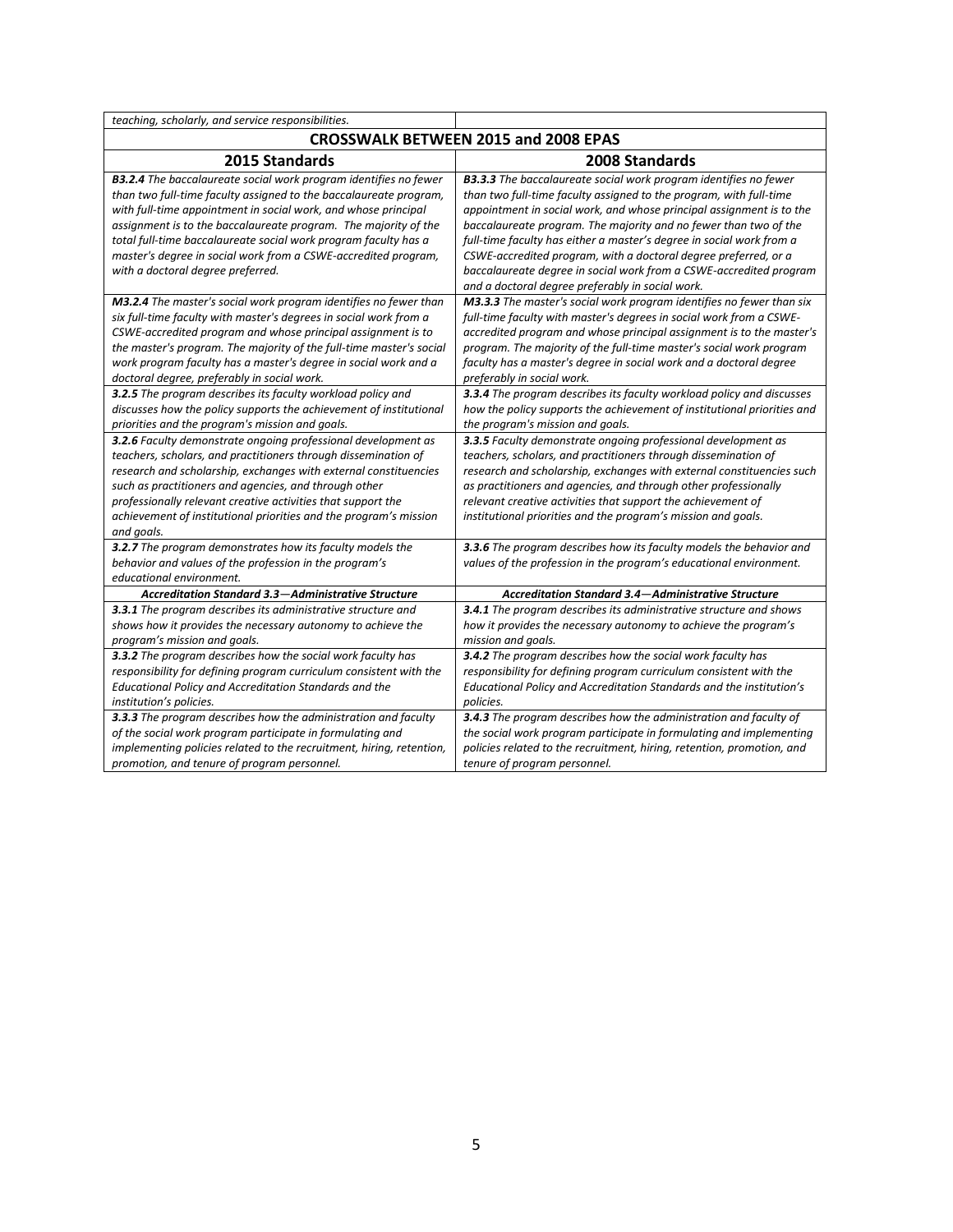| teaching, scholarly, and service responsibilities.                                                                                                                                                                                                                                                                                                                                                                                                            |                                                                                                                                                                                                                                                                                                                                                                                                                                                                                                                                                                |
|---------------------------------------------------------------------------------------------------------------------------------------------------------------------------------------------------------------------------------------------------------------------------------------------------------------------------------------------------------------------------------------------------------------------------------------------------------------|----------------------------------------------------------------------------------------------------------------------------------------------------------------------------------------------------------------------------------------------------------------------------------------------------------------------------------------------------------------------------------------------------------------------------------------------------------------------------------------------------------------------------------------------------------------|
| <b>CROSSWALK BETWEEN 2015 and 2008 EPAS</b>                                                                                                                                                                                                                                                                                                                                                                                                                   |                                                                                                                                                                                                                                                                                                                                                                                                                                                                                                                                                                |
| 2015 Standards                                                                                                                                                                                                                                                                                                                                                                                                                                                | 2008 Standards                                                                                                                                                                                                                                                                                                                                                                                                                                                                                                                                                 |
| <b>B3.2.4</b> The baccalaureate social work program identifies no fewer<br>than two full-time faculty assigned to the baccalaureate program,<br>with full-time appointment in social work, and whose principal<br>assignment is to the baccalaureate program. The majority of the<br>total full-time baccalaureate social work program faculty has a<br>master's degree in social work from a CSWE-accredited program,<br>with a doctoral degree preferred.   | <b>B3.3.3</b> The baccalaureate social work program identifies no fewer<br>than two full-time faculty assigned to the program, with full-time<br>appointment in social work, and whose principal assignment is to the<br>baccalaureate program. The majority and no fewer than two of the<br>full-time faculty has either a master's degree in social work from a<br>CSWE-accredited program, with a doctoral degree preferred, or a<br>baccalaureate degree in social work from a CSWE-accredited program<br>and a doctoral degree preferably in social work. |
| M3.2.4 The master's social work program identifies no fewer than<br>six full-time faculty with master's degrees in social work from a<br>CSWE-accredited program and whose principal assignment is to<br>the master's program. The majority of the full-time master's social<br>work program faculty has a master's degree in social work and a<br>doctoral degree, preferably in social work.<br>3.2.5 The program describes its faculty workload policy and | M3.3.3 The master's social work program identifies no fewer than six<br>full-time faculty with master's degrees in social work from a CSWE-<br>accredited program and whose principal assignment is to the master's<br>program. The majority of the full-time master's social work program<br>faculty has a master's degree in social work and a doctoral degree<br>preferably in social work.<br>3.3.4 The program describes its faculty workload policy and discusses                                                                                        |
| discusses how the policy supports the achievement of institutional<br>priorities and the program's mission and goals.                                                                                                                                                                                                                                                                                                                                         | how the policy supports the achievement of institutional priorities and<br>the program's mission and goals.                                                                                                                                                                                                                                                                                                                                                                                                                                                    |
| 3.2.6 Faculty demonstrate ongoing professional development as<br>teachers, scholars, and practitioners through dissemination of<br>research and scholarship, exchanges with external constituencies<br>such as practitioners and agencies, and through other<br>professionally relevant creative activities that support the<br>achievement of institutional priorities and the program's mission<br>and goals.                                               | 3.3.5 Faculty demonstrate ongoing professional development as<br>teachers, scholars, and practitioners through dissemination of<br>research and scholarship, exchanges with external constituencies such<br>as practitioners and agencies, and through other professionally<br>relevant creative activities that support the achievement of<br>institutional priorities and the program's mission and goals.                                                                                                                                                   |
| 3.2.7 The program demonstrates how its faculty models the<br>behavior and values of the profession in the program's<br>educational environment.                                                                                                                                                                                                                                                                                                               | 3.3.6 The program describes how its faculty models the behavior and<br>values of the profession in the program's educational environment.                                                                                                                                                                                                                                                                                                                                                                                                                      |
| Accreditation Standard 3.3-Administrative Structure                                                                                                                                                                                                                                                                                                                                                                                                           | Accreditation Standard 3.4-Administrative Structure                                                                                                                                                                                                                                                                                                                                                                                                                                                                                                            |
| 3.3.1 The program describes its administrative structure and<br>shows how it provides the necessary autonomy to achieve the<br>program's mission and goals.                                                                                                                                                                                                                                                                                                   | 3.4.1 The program describes its administrative structure and shows<br>how it provides the necessary autonomy to achieve the program's<br>mission and goals.                                                                                                                                                                                                                                                                                                                                                                                                    |
| 3.3.2 The program describes how the social work faculty has<br>responsibility for defining program curriculum consistent with the<br>Educational Policy and Accreditation Standards and the<br>institution's policies.                                                                                                                                                                                                                                        | 3.4.2 The program describes how the social work faculty has<br>responsibility for defining program curriculum consistent with the<br>Educational Policy and Accreditation Standards and the institution's<br>policies.                                                                                                                                                                                                                                                                                                                                         |
| 3.3.3 The program describes how the administration and faculty<br>of the social work program participate in formulating and<br>implementing policies related to the recruitment, hiring, retention,<br>promotion, and tenure of program personnel.                                                                                                                                                                                                            | 3.4.3 The program describes how the administration and faculty of<br>the social work program participate in formulating and implementing<br>policies related to the recruitment, hiring, retention, promotion, and<br>tenure of program personnel.                                                                                                                                                                                                                                                                                                             |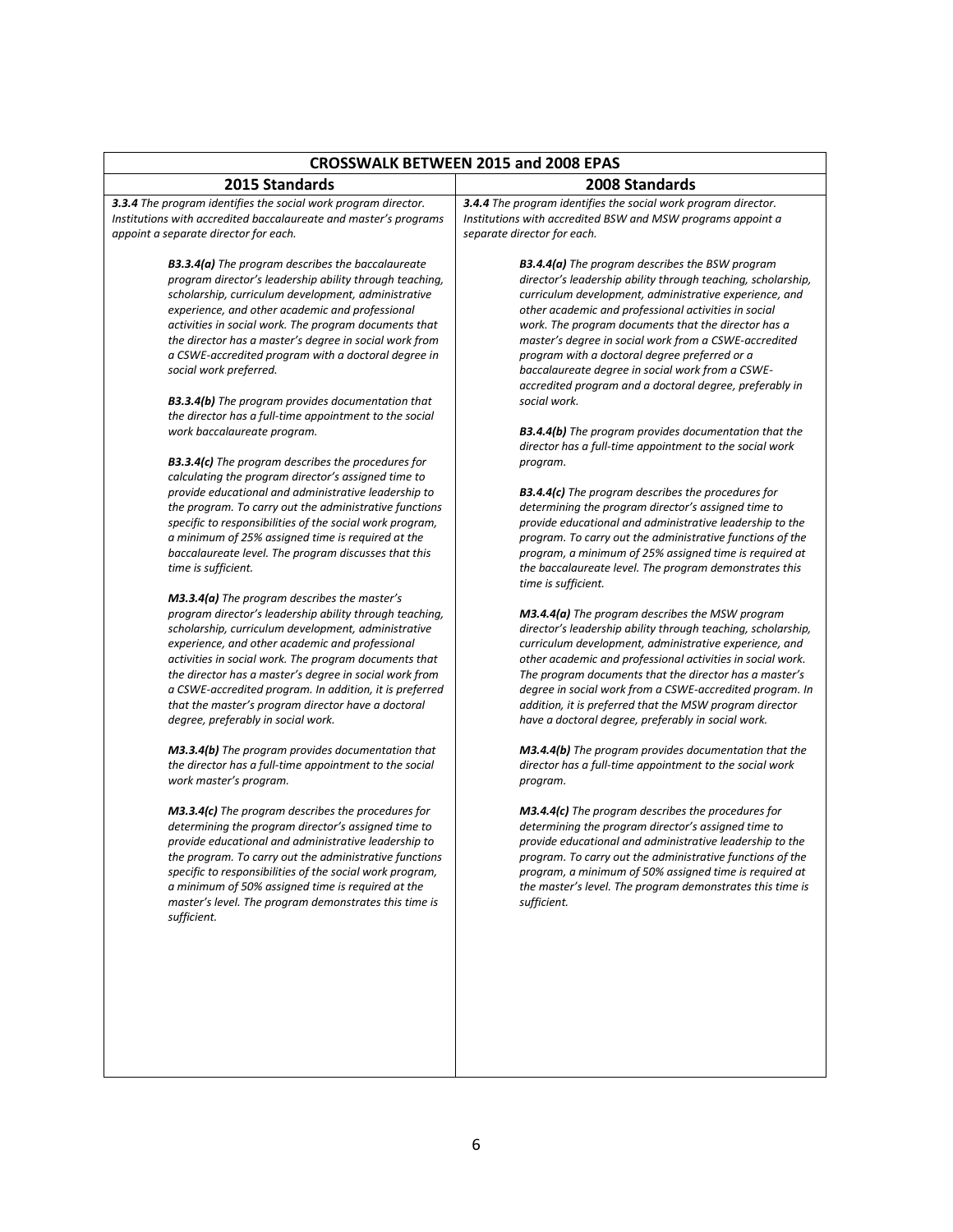| <b>CROSSWALK BETWEEN 2015 and 2008 EPAS</b>                                                                                                                                                                                                                                                                                                                                                                                                                                                                                                             |                                                                                                                                                                                                                                                                                                                                                                                                                                                                                                                                          |
|---------------------------------------------------------------------------------------------------------------------------------------------------------------------------------------------------------------------------------------------------------------------------------------------------------------------------------------------------------------------------------------------------------------------------------------------------------------------------------------------------------------------------------------------------------|------------------------------------------------------------------------------------------------------------------------------------------------------------------------------------------------------------------------------------------------------------------------------------------------------------------------------------------------------------------------------------------------------------------------------------------------------------------------------------------------------------------------------------------|
| 2015 Standards                                                                                                                                                                                                                                                                                                                                                                                                                                                                                                                                          | 2008 Standards                                                                                                                                                                                                                                                                                                                                                                                                                                                                                                                           |
| 3.3.4 The program identifies the social work program director.<br>Institutions with accredited baccalaureate and master's programs<br>appoint a separate director for each.                                                                                                                                                                                                                                                                                                                                                                             | 3.4.4 The program identifies the social work program director.<br>Institutions with accredited BSW and MSW programs appoint a<br>separate director for each.                                                                                                                                                                                                                                                                                                                                                                             |
| <b>B3.3.4(a)</b> The program describes the baccalaureate<br>program director's leadership ability through teaching,<br>scholarship, curriculum development, administrative<br>experience, and other academic and professional<br>activities in social work. The program documents that<br>the director has a master's degree in social work from<br>a CSWE-accredited program with a doctoral degree in<br>social work preferred.<br><b>B3.3.4(b)</b> The program provides documentation that<br>the director has a full-time appointment to the social | <b>B3.4.4(a)</b> The program describes the BSW program<br>director's leadership ability through teaching, scholarship,<br>curriculum development, administrative experience, and<br>other academic and professional activities in social<br>work. The program documents that the director has a<br>master's degree in social work from a CSWE-accredited<br>program with a doctoral degree preferred or a<br>baccalaureate degree in social work from a CSWE-<br>accredited program and a doctoral degree, preferably in<br>social work. |
| work baccalaureate program.<br><b>B3.3.4(c)</b> The program describes the procedures for                                                                                                                                                                                                                                                                                                                                                                                                                                                                | <b>B3.4.4(b)</b> The program provides documentation that the<br>director has a full-time appointment to the social work<br>program.                                                                                                                                                                                                                                                                                                                                                                                                      |
| calculating the program director's assigned time to<br>provide educational and administrative leadership to<br>the program. To carry out the administrative functions<br>specific to responsibilities of the social work program,<br>a minimum of 25% assigned time is required at the<br>baccalaureate level. The program discusses that this<br>time is sufficient.                                                                                                                                                                                   | <b>B3.4.4(c)</b> The program describes the procedures for<br>determining the program director's assigned time to<br>provide educational and administrative leadership to the<br>program. To carry out the administrative functions of the<br>program, a minimum of 25% assigned time is required at<br>the baccalaureate level. The program demonstrates this<br>time is sufficient.                                                                                                                                                     |
| $M3.3.4(a)$ The program describes the master's<br>program director's leadership ability through teaching,<br>scholarship, curriculum development, administrative<br>experience, and other academic and professional<br>activities in social work. The program documents that<br>the director has a master's degree in social work from<br>a CSWE-accredited program. In addition, it is preferred<br>that the master's program director have a doctoral<br>degree, preferably in social work.                                                           | <b>M3.4.4(a)</b> The program describes the MSW program<br>director's leadership ability through teaching, scholarship,<br>curriculum development, administrative experience, and<br>other academic and professional activities in social work.<br>The program documents that the director has a master's<br>degree in social work from a CSWE-accredited program. In<br>addition, it is preferred that the MSW program director<br>have a doctoral degree, preferably in social work.                                                    |
| <b>M3.3.4(b)</b> The program provides documentation that<br>the director has a full-time appointment to the social<br>work master's program.                                                                                                                                                                                                                                                                                                                                                                                                            | <b>M3.4.4(b)</b> The program provides documentation that the<br>director has a full-time appointment to the social work<br>program.                                                                                                                                                                                                                                                                                                                                                                                                      |
| <b>M3.3.4(c)</b> The program describes the procedures for<br>determining the program director's assigned time to<br>provide educational and administrative leadership to<br>the program. To carry out the administrative functions<br>specific to responsibilities of the social work program,<br>a minimum of 50% assigned time is required at the<br>master's level. The program demonstrates this time is<br>sufficient.                                                                                                                             | <b>M3.4.4(c)</b> The program describes the procedures for<br>determining the program director's assigned time to<br>provide educational and administrative leadership to the<br>program. To carry out the administrative functions of the<br>program, a minimum of 50% assigned time is required at<br>the master's level. The program demonstrates this time is<br>sufficient.                                                                                                                                                          |
|                                                                                                                                                                                                                                                                                                                                                                                                                                                                                                                                                         |                                                                                                                                                                                                                                                                                                                                                                                                                                                                                                                                          |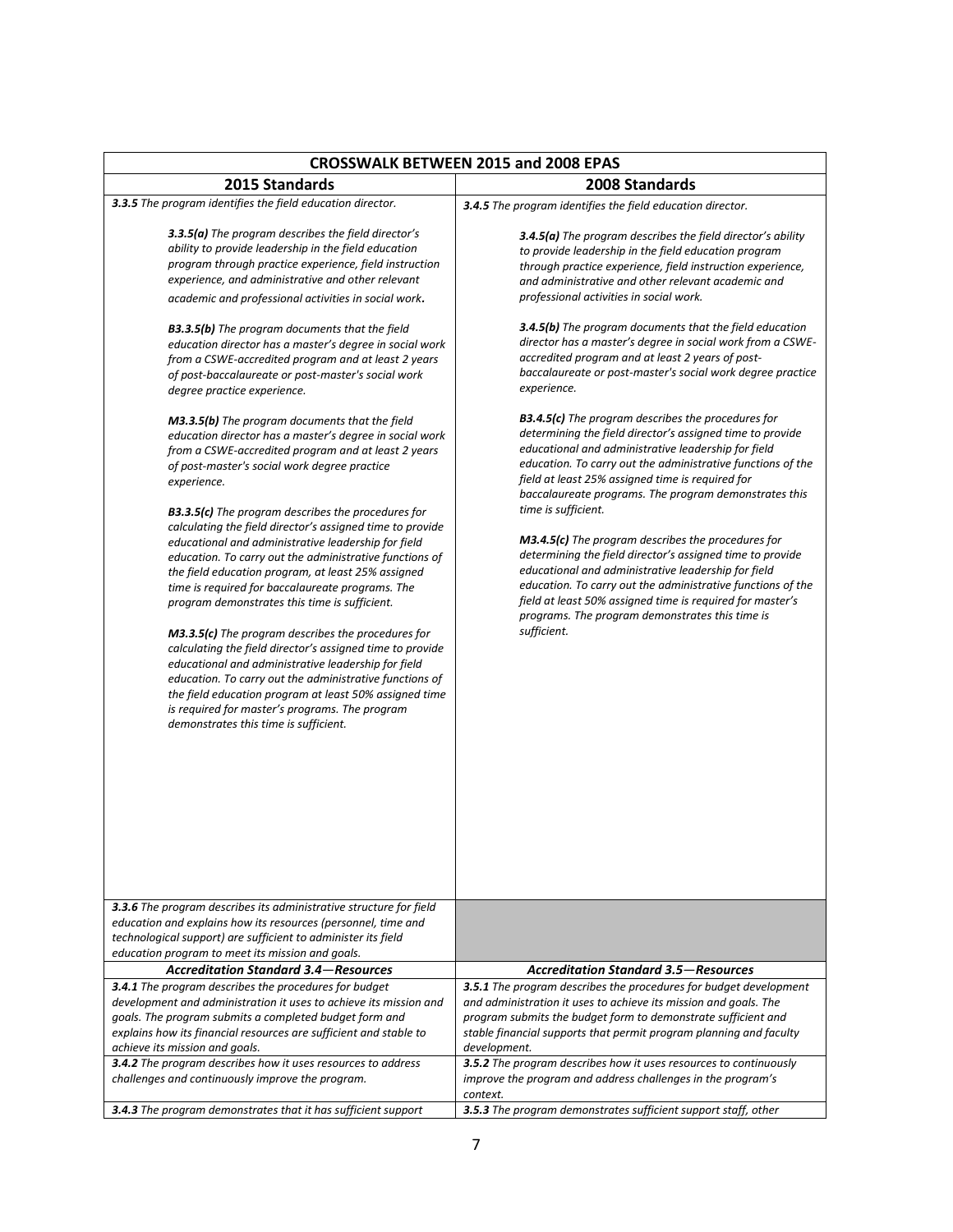| <b>CROSSWALK BETWEEN 2015 and 2008 EPAS</b>                                                                                                                                                                                                                                                                                                                                                                                                                                                                                                                                                                                                                                                                                                                                                                                                                                                                                                                                                                                                                                                                                                                                                                                                                                                                                                                                                                                                                                                                                                                                                          |                                                                                                                                                                                                                                                                                                                                                                                                                                                                                                                                                                                                                                                                                                                                                                                                                                                                                                                                                                                                                                                                                                                                                                                                                                                                                                                               |
|------------------------------------------------------------------------------------------------------------------------------------------------------------------------------------------------------------------------------------------------------------------------------------------------------------------------------------------------------------------------------------------------------------------------------------------------------------------------------------------------------------------------------------------------------------------------------------------------------------------------------------------------------------------------------------------------------------------------------------------------------------------------------------------------------------------------------------------------------------------------------------------------------------------------------------------------------------------------------------------------------------------------------------------------------------------------------------------------------------------------------------------------------------------------------------------------------------------------------------------------------------------------------------------------------------------------------------------------------------------------------------------------------------------------------------------------------------------------------------------------------------------------------------------------------------------------------------------------------|-------------------------------------------------------------------------------------------------------------------------------------------------------------------------------------------------------------------------------------------------------------------------------------------------------------------------------------------------------------------------------------------------------------------------------------------------------------------------------------------------------------------------------------------------------------------------------------------------------------------------------------------------------------------------------------------------------------------------------------------------------------------------------------------------------------------------------------------------------------------------------------------------------------------------------------------------------------------------------------------------------------------------------------------------------------------------------------------------------------------------------------------------------------------------------------------------------------------------------------------------------------------------------------------------------------------------------|
| 2015 Standards                                                                                                                                                                                                                                                                                                                                                                                                                                                                                                                                                                                                                                                                                                                                                                                                                                                                                                                                                                                                                                                                                                                                                                                                                                                                                                                                                                                                                                                                                                                                                                                       | 2008 Standards                                                                                                                                                                                                                                                                                                                                                                                                                                                                                                                                                                                                                                                                                                                                                                                                                                                                                                                                                                                                                                                                                                                                                                                                                                                                                                                |
| 3.3.5 The program identifies the field education director.                                                                                                                                                                                                                                                                                                                                                                                                                                                                                                                                                                                                                                                                                                                                                                                                                                                                                                                                                                                                                                                                                                                                                                                                                                                                                                                                                                                                                                                                                                                                           | 3.4.5 The program identifies the field education director.                                                                                                                                                                                                                                                                                                                                                                                                                                                                                                                                                                                                                                                                                                                                                                                                                                                                                                                                                                                                                                                                                                                                                                                                                                                                    |
| 3.3.5(a) The program describes the field director's<br>ability to provide leadership in the field education<br>program through practice experience, field instruction<br>experience, and administrative and other relevant<br>academic and professional activities in social work.<br><b>B3.3.5(b)</b> The program documents that the field<br>education director has a master's degree in social work<br>from a CSWE-accredited program and at least 2 years<br>of post-baccalaureate or post-master's social work<br>degree practice experience.<br><b>M3.3.5(b)</b> The program documents that the field<br>education director has a master's degree in social work<br>from a CSWE-accredited program and at least 2 years<br>of post-master's social work degree practice<br>experience.<br><b>B3.3.5(c)</b> The program describes the procedures for<br>calculating the field director's assigned time to provide<br>educational and administrative leadership for field<br>education. To carry out the administrative functions of<br>the field education program, at least 25% assigned<br>time is required for baccalaureate programs. The<br>program demonstrates this time is sufficient.<br><b>M3.3.5(c)</b> The program describes the procedures for<br>calculating the field director's assigned time to provide<br>educational and administrative leadership for field<br>education. To carry out the administrative functions of<br>the field education program at least 50% assigned time<br>is required for master's programs. The program<br>demonstrates this time is sufficient. | <b>3.4.5(a)</b> The program describes the field director's ability<br>to provide leadership in the field education program<br>through practice experience, field instruction experience,<br>and administrative and other relevant academic and<br>professional activities in social work.<br><b>3.4.5(b)</b> The program documents that the field education<br>director has a master's degree in social work from a CSWE-<br>accredited program and at least 2 years of post-<br>baccalaureate or post-master's social work degree practice<br>experience.<br><b>B3.4.5(c)</b> The program describes the procedures for<br>determining the field director's assigned time to provide<br>educational and administrative leadership for field<br>education. To carry out the administrative functions of the<br>field at least 25% assigned time is required for<br>baccalaureate programs. The program demonstrates this<br>time is sufficient.<br><b>M3.4.5(c)</b> The program describes the procedures for<br>determining the field director's assigned time to provide<br>educational and administrative leadership for field<br>education. To carry out the administrative functions of the<br>field at least 50% assigned time is required for master's<br>programs. The program demonstrates this time is<br>sufficient. |
| <b>3.3.6</b> The program describes its administrative structure for field<br>education and explains how its resources (personnel, time and<br>technological support) are sufficient to administer its field<br>education program to meet its mission and goals.                                                                                                                                                                                                                                                                                                                                                                                                                                                                                                                                                                                                                                                                                                                                                                                                                                                                                                                                                                                                                                                                                                                                                                                                                                                                                                                                      |                                                                                                                                                                                                                                                                                                                                                                                                                                                                                                                                                                                                                                                                                                                                                                                                                                                                                                                                                                                                                                                                                                                                                                                                                                                                                                                               |
| <b>Accreditation Standard 3.4–Resources</b>                                                                                                                                                                                                                                                                                                                                                                                                                                                                                                                                                                                                                                                                                                                                                                                                                                                                                                                                                                                                                                                                                                                                                                                                                                                                                                                                                                                                                                                                                                                                                          | <b>Accreditation Standard 3.5–Resources</b>                                                                                                                                                                                                                                                                                                                                                                                                                                                                                                                                                                                                                                                                                                                                                                                                                                                                                                                                                                                                                                                                                                                                                                                                                                                                                   |
| 3.4.1 The program describes the procedures for budget<br>development and administration it uses to achieve its mission and<br>goals. The program submits a completed budget form and<br>explains how its financial resources are sufficient and stable to<br>achieve its mission and goals.<br>3.4.2 The program describes how it uses resources to address                                                                                                                                                                                                                                                                                                                                                                                                                                                                                                                                                                                                                                                                                                                                                                                                                                                                                                                                                                                                                                                                                                                                                                                                                                          | 3.5.1 The program describes the procedures for budget development<br>and administration it uses to achieve its mission and goals. The<br>program submits the budget form to demonstrate sufficient and<br>stable financial supports that permit program planning and faculty<br>development.<br>3.5.2 The program describes how it uses resources to continuously                                                                                                                                                                                                                                                                                                                                                                                                                                                                                                                                                                                                                                                                                                                                                                                                                                                                                                                                                             |
| challenges and continuously improve the program.                                                                                                                                                                                                                                                                                                                                                                                                                                                                                                                                                                                                                                                                                                                                                                                                                                                                                                                                                                                                                                                                                                                                                                                                                                                                                                                                                                                                                                                                                                                                                     | improve the program and address challenges in the program's<br>context.                                                                                                                                                                                                                                                                                                                                                                                                                                                                                                                                                                                                                                                                                                                                                                                                                                                                                                                                                                                                                                                                                                                                                                                                                                                       |
| 3.4.3 The program demonstrates that it has sufficient support                                                                                                                                                                                                                                                                                                                                                                                                                                                                                                                                                                                                                                                                                                                                                                                                                                                                                                                                                                                                                                                                                                                                                                                                                                                                                                                                                                                                                                                                                                                                        | 3.5.3 The program demonstrates sufficient support staff, other                                                                                                                                                                                                                                                                                                                                                                                                                                                                                                                                                                                                                                                                                                                                                                                                                                                                                                                                                                                                                                                                                                                                                                                                                                                                |